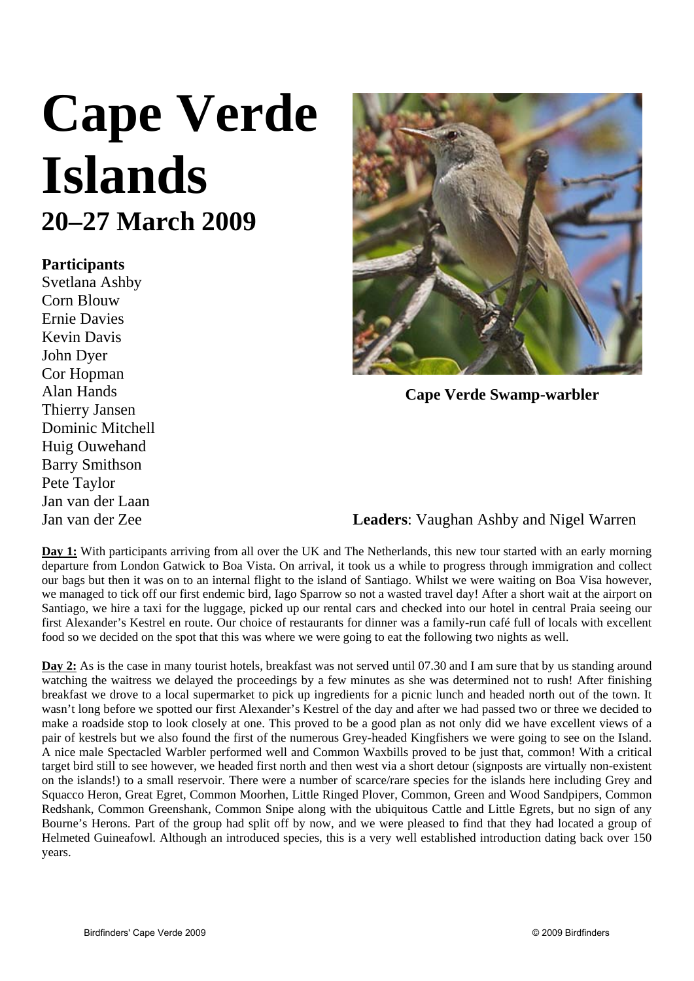## **Cape Verde Islands 20–27 March 2009**

## **Participants**

Svetlana Ashby Corn Blouw Ernie Davies Kevin Davis John Dyer Cor Hopman Alan Hands Thierry Jansen Dominic Mitchell Huig Ouwehand Barry Smithson Pete Taylor Jan van der Laan Jan van der Zee



**Cape Verde Swamp-warbler** 

## **Leaders**: Vaughan Ashby and Nigel Warren

**Day 1:** With participants arriving from all over the UK and The Netherlands, this new tour started with an early morning departure from London Gatwick to Boa Vista. On arrival, it took us a while to progress through immigration and collect our bags but then it was on to an internal flight to the island of Santiago. Whilst we were waiting on Boa Visa however, we managed to tick off our first endemic bird, Iago Sparrow so not a wasted travel day! After a short wait at the airport on Santiago, we hire a taxi for the luggage, picked up our rental cars and checked into our hotel in central Praia seeing our first Alexander's Kestrel en route. Our choice of restaurants for dinner was a family-run café full of locals with excellent food so we decided on the spot that this was where we were going to eat the following two nights as well.

**Day 2:** As is the case in many tourist hotels, breakfast was not served until 07.30 and I am sure that by us standing around watching the waitress we delayed the proceedings by a few minutes as she was determined not to rush! After finishing breakfast we drove to a local supermarket to pick up ingredients for a picnic lunch and headed north out of the town. It wasn't long before we spotted our first Alexander's Kestrel of the day and after we had passed two or three we decided to make a roadside stop to look closely at one. This proved to be a good plan as not only did we have excellent views of a pair of kestrels but we also found the first of the numerous Grey-headed Kingfishers we were going to see on the Island. A nice male Spectacled Warbler performed well and Common Waxbills proved to be just that, common! With a critical target bird still to see however, we headed first north and then west via a short detour (signposts are virtually non-existent on the islands!) to a small reservoir. There were a number of scarce/rare species for the islands here including Grey and Squacco Heron, Great Egret, Common Moorhen, Little Ringed Plover, Common, Green and Wood Sandpipers, Common Redshank, Common Greenshank, Common Snipe along with the ubiquitous Cattle and Little Egrets, but no sign of any Bourne's Herons. Part of the group had split off by now, and we were pleased to find that they had located a group of Helmeted Guineafowl. Although an introduced species, this is a very well established introduction dating back over 150 years.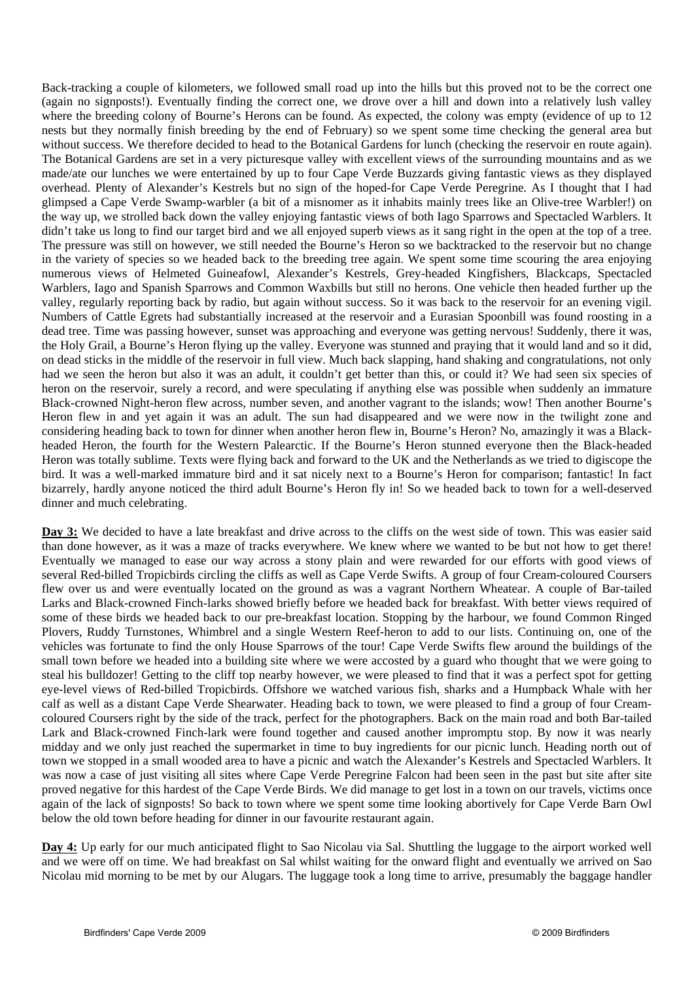Back-tracking a couple of kilometers, we followed small road up into the hills but this proved not to be the correct one (again no signposts!). Eventually finding the correct one, we drove over a hill and down into a relatively lush valley where the breeding colony of Bourne's Herons can be found. As expected, the colony was empty (evidence of up to 12 nests but they normally finish breeding by the end of February) so we spent some time checking the general area but without success. We therefore decided to head to the Botanical Gardens for lunch (checking the reservoir en route again). The Botanical Gardens are set in a very picturesque valley with excellent views of the surrounding mountains and as we made/ate our lunches we were entertained by up to four Cape Verde Buzzards giving fantastic views as they displayed overhead. Plenty of Alexander's Kestrels but no sign of the hoped-for Cape Verde Peregrine. As I thought that I had glimpsed a Cape Verde Swamp-warbler (a bit of a misnomer as it inhabits mainly trees like an Olive-tree Warbler!) on the way up, we strolled back down the valley enjoying fantastic views of both Iago Sparrows and Spectacled Warblers. It didn't take us long to find our target bird and we all enjoyed superb views as it sang right in the open at the top of a tree. The pressure was still on however, we still needed the Bourne's Heron so we backtracked to the reservoir but no change in the variety of species so we headed back to the breeding tree again. We spent some time scouring the area enjoying numerous views of Helmeted Guineafowl, Alexander's Kestrels, Grey-headed Kingfishers, Blackcaps, Spectacled Warblers, Iago and Spanish Sparrows and Common Waxbills but still no herons. One vehicle then headed further up the valley, regularly reporting back by radio, but again without success. So it was back to the reservoir for an evening vigil. Numbers of Cattle Egrets had substantially increased at the reservoir and a Eurasian Spoonbill was found roosting in a dead tree. Time was passing however, sunset was approaching and everyone was getting nervous! Suddenly, there it was, the Holy Grail, a Bourne's Heron flying up the valley. Everyone was stunned and praying that it would land and so it did, on dead sticks in the middle of the reservoir in full view. Much back slapping, hand shaking and congratulations, not only had we seen the heron but also it was an adult, it couldn't get better than this, or could it? We had seen six species of heron on the reservoir, surely a record, and were speculating if anything else was possible when suddenly an immature Black-crowned Night-heron flew across, number seven, and another vagrant to the islands; wow! Then another Bourne's Heron flew in and yet again it was an adult. The sun had disappeared and we were now in the twilight zone and considering heading back to town for dinner when another heron flew in, Bourne's Heron? No, amazingly it was a Blackheaded Heron, the fourth for the Western Palearctic. If the Bourne's Heron stunned everyone then the Black-headed Heron was totally sublime. Texts were flying back and forward to the UK and the Netherlands as we tried to digiscope the bird. It was a well-marked immature bird and it sat nicely next to a Bourne's Heron for comparison; fantastic! In fact bizarrely, hardly anyone noticed the third adult Bourne's Heron fly in! So we headed back to town for a well-deserved dinner and much celebrating.

**Day 3:** We decided to have a late breakfast and drive across to the cliffs on the west side of town. This was easier said than done however, as it was a maze of tracks everywhere. We knew where we wanted to be but not how to get there! Eventually we managed to ease our way across a stony plain and were rewarded for our efforts with good views of several Red-billed Tropicbirds circling the cliffs as well as Cape Verde Swifts. A group of four Cream-coloured Coursers flew over us and were eventually located on the ground as was a vagrant Northern Wheatear. A couple of Bar-tailed Larks and Black-crowned Finch-larks showed briefly before we headed back for breakfast. With better views required of some of these birds we headed back to our pre-breakfast location. Stopping by the harbour, we found Common Ringed Plovers, Ruddy Turnstones, Whimbrel and a single Western Reef-heron to add to our lists. Continuing on, one of the vehicles was fortunate to find the only House Sparrows of the tour! Cape Verde Swifts flew around the buildings of the small town before we headed into a building site where we were accosted by a guard who thought that we were going to steal his bulldozer! Getting to the cliff top nearby however, we were pleased to find that it was a perfect spot for getting eye-level views of Red-billed Tropicbirds. Offshore we watched various fish, sharks and a Humpback Whale with her calf as well as a distant Cape Verde Shearwater. Heading back to town, we were pleased to find a group of four Creamcoloured Coursers right by the side of the track, perfect for the photographers. Back on the main road and both Bar-tailed Lark and Black-crowned Finch-lark were found together and caused another impromptu stop. By now it was nearly midday and we only just reached the supermarket in time to buy ingredients for our picnic lunch. Heading north out of town we stopped in a small wooded area to have a picnic and watch the Alexander's Kestrels and Spectacled Warblers. It was now a case of just visiting all sites where Cape Verde Peregrine Falcon had been seen in the past but site after site proved negative for this hardest of the Cape Verde Birds. We did manage to get lost in a town on our travels, victims once again of the lack of signposts! So back to town where we spent some time looking abortively for Cape Verde Barn Owl below the old town before heading for dinner in our favourite restaurant again.

**Day 4:** Up early for our much anticipated flight to Sao Nicolau via Sal. Shuttling the luggage to the airport worked well and we were off on time. We had breakfast on Sal whilst waiting for the onward flight and eventually we arrived on Sao Nicolau mid morning to be met by our Alugars. The luggage took a long time to arrive, presumably the baggage handler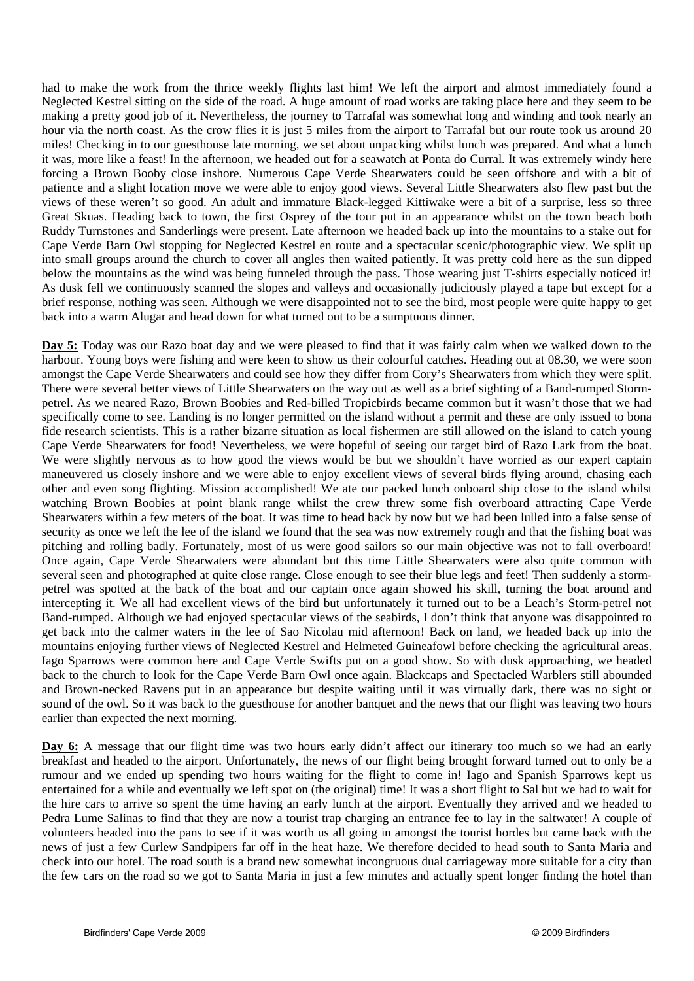had to make the work from the thrice weekly flights last him! We left the airport and almost immediately found a Neglected Kestrel sitting on the side of the road. A huge amount of road works are taking place here and they seem to be making a pretty good job of it. Nevertheless, the journey to Tarrafal was somewhat long and winding and took nearly an hour via the north coast. As the crow flies it is just 5 miles from the airport to Tarrafal but our route took us around 20 miles! Checking in to our guesthouse late morning, we set about unpacking whilst lunch was prepared. And what a lunch it was, more like a feast! In the afternoon, we headed out for a seawatch at Ponta do Curral. It was extremely windy here forcing a Brown Booby close inshore. Numerous Cape Verde Shearwaters could be seen offshore and with a bit of patience and a slight location move we were able to enjoy good views. Several Little Shearwaters also flew past but the views of these weren't so good. An adult and immature Black-legged Kittiwake were a bit of a surprise, less so three Great Skuas. Heading back to town, the first Osprey of the tour put in an appearance whilst on the town beach both Ruddy Turnstones and Sanderlings were present. Late afternoon we headed back up into the mountains to a stake out for Cape Verde Barn Owl stopping for Neglected Kestrel en route and a spectacular scenic/photographic view. We split up into small groups around the church to cover all angles then waited patiently. It was pretty cold here as the sun dipped below the mountains as the wind was being funneled through the pass. Those wearing just T-shirts especially noticed it! As dusk fell we continuously scanned the slopes and valleys and occasionally judiciously played a tape but except for a brief response, nothing was seen. Although we were disappointed not to see the bird, most people were quite happy to get back into a warm Alugar and head down for what turned out to be a sumptuous dinner.

**Day 5:** Today was our Razo boat day and we were pleased to find that it was fairly calm when we walked down to the harbour. Young boys were fishing and were keen to show us their colourful catches. Heading out at 08.30, we were soon amongst the Cape Verde Shearwaters and could see how they differ from Cory's Shearwaters from which they were split. There were several better views of Little Shearwaters on the way out as well as a brief sighting of a Band-rumped Stormpetrel. As we neared Razo, Brown Boobies and Red-billed Tropicbirds became common but it wasn't those that we had specifically come to see. Landing is no longer permitted on the island without a permit and these are only issued to bona fide research scientists. This is a rather bizarre situation as local fishermen are still allowed on the island to catch young Cape Verde Shearwaters for food! Nevertheless, we were hopeful of seeing our target bird of Razo Lark from the boat. We were slightly nervous as to how good the views would be but we shouldn't have worried as our expert captain maneuvered us closely inshore and we were able to enjoy excellent views of several birds flying around, chasing each other and even song flighting. Mission accomplished! We ate our packed lunch onboard ship close to the island whilst watching Brown Boobies at point blank range whilst the crew threw some fish overboard attracting Cape Verde Shearwaters within a few meters of the boat. It was time to head back by now but we had been lulled into a false sense of security as once we left the lee of the island we found that the sea was now extremely rough and that the fishing boat was pitching and rolling badly. Fortunately, most of us were good sailors so our main objective was not to fall overboard! Once again, Cape Verde Shearwaters were abundant but this time Little Shearwaters were also quite common with several seen and photographed at quite close range. Close enough to see their blue legs and feet! Then suddenly a stormpetrel was spotted at the back of the boat and our captain once again showed his skill, turning the boat around and intercepting it. We all had excellent views of the bird but unfortunately it turned out to be a Leach's Storm-petrel not Band-rumped. Although we had enjoyed spectacular views of the seabirds, I don't think that anyone was disappointed to get back into the calmer waters in the lee of Sao Nicolau mid afternoon! Back on land, we headed back up into the mountains enjoying further views of Neglected Kestrel and Helmeted Guineafowl before checking the agricultural areas. Iago Sparrows were common here and Cape Verde Swifts put on a good show. So with dusk approaching, we headed back to the church to look for the Cape Verde Barn Owl once again. Blackcaps and Spectacled Warblers still abounded and Brown-necked Ravens put in an appearance but despite waiting until it was virtually dark, there was no sight or sound of the owl. So it was back to the guesthouse for another banquet and the news that our flight was leaving two hours earlier than expected the next morning.

**Day 6:** A message that our flight time was two hours early didn't affect our itinerary too much so we had an early breakfast and headed to the airport. Unfortunately, the news of our flight being brought forward turned out to only be a rumour and we ended up spending two hours waiting for the flight to come in! Iago and Spanish Sparrows kept us entertained for a while and eventually we left spot on (the original) time! It was a short flight to Sal but we had to wait for the hire cars to arrive so spent the time having an early lunch at the airport. Eventually they arrived and we headed to Pedra Lume Salinas to find that they are now a tourist trap charging an entrance fee to lay in the saltwater! A couple of volunteers headed into the pans to see if it was worth us all going in amongst the tourist hordes but came back with the news of just a few Curlew Sandpipers far off in the heat haze. We therefore decided to head south to Santa Maria and check into our hotel. The road south is a brand new somewhat incongruous dual carriageway more suitable for a city than the few cars on the road so we got to Santa Maria in just a few minutes and actually spent longer finding the hotel than